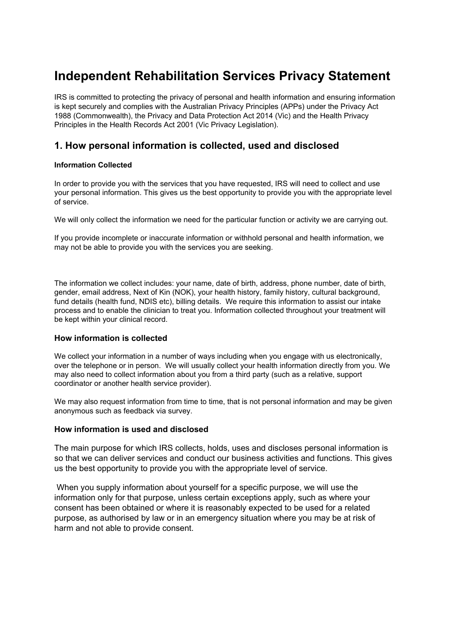# **Independent Rehabilitation Services Privacy Statement**

IRS is committed to protecting the privacy of personal and health information and ensuring information is kept securely and complies with the Australian Privacy Principles (APPs) under the Privacy Act 1988 (Commonwealth), the Privacy and Data Protection Act 2014 (Vic) and the Health Privacy Principles in the Health Records Act 2001 (Vic Privacy Legislation).

# **1. How personal information is collected, used and disclosed**

#### **Information Collected**

In order to provide you with the services that you have requested, IRS will need to collect and use your personal information. This gives us the best opportunity to provide you with the appropriate level of service.

We will only collect the information we need for the particular function or activity we are carrying out.

If you provide incomplete or inaccurate information or withhold personal and health information, we may not be able to provide you with the services you are seeking.

The information we collect includes: your name, date of birth, address, phone number, date of birth, gender, email address, Next of Kin (NOK), your health history, family history, cultural background, fund details (health fund, NDIS etc), billing details. We require this information to assist our intake process and to enable the clinician to treat you. Information collected throughout your treatment will be kept within your clinical record.

#### **How information is collected**

We collect your information in a number of ways including when you engage with us electronically, over the telephone or in person. We will usually collect your health information directly from you. We may also need to collect information about you from a third party (such as a relative, support coordinator or another health service provider).

We may also request information from time to time, that is not personal information and may be given anonymous such as feedback via survey.

#### **How information is used and disclosed**

The main purpose for which IRS collects, holds, uses and discloses personal information is so that we can deliver services and conduct our business activities and functions. This gives us the best opportunity to provide you with the appropriate level of service.

When you supply information about yourself for a specific purpose, we will use the information only for that purpose, unless certain exceptions apply, such as where your consent has been obtained or where it is reasonably expected to be used for a related purpose, as authorised by law or in an emergency situation where you may be at risk of harm and not able to provide consent.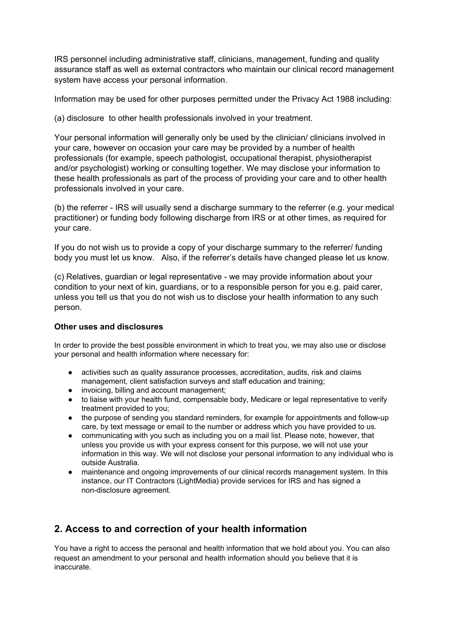IRS personnel including administrative staff, clinicians, management, funding and quality assurance staff as well as external contractors who maintain our clinical record management system have access your personal information.

Information may be used for other purposes permitted under the Privacy Act 1988 including:

(a) disclosure to other health professionals involved in your treatment.

Your personal information will generally only be used by the clinician/ clinicians involved in your care, however on occasion your care may be provided by a number of health professionals (for example, speech pathologist, occupational therapist, physiotherapist and/or psychologist) working or consulting together. We may disclose your information to these health professionals as part of the process of providing your care and to other health professionals involved in your care.

(b) the referrer - IRS will usually send a discharge summary to the referrer (e.g. your medical practitioner) or funding body following discharge from IRS or at other times, as required for your care.

If you do not wish us to provide a copy of your discharge summary to the referrer/ funding body you must let us know. Also, if the referrer's details have changed please let us know.

(c) Relatives, guardian or legal representative - we may provide information about your condition to your next of kin, guardians, or to a responsible person for you e.g. paid carer, unless you tell us that you do not wish us to disclose your health information to any such person.

#### **Other uses and disclosures**

In order to provide the best possible environment in which to treat you, we may also use or disclose your personal and health information where necessary for:

- activities such as quality assurance processes, accreditation, audits, risk and claims management, client satisfaction surveys and staff education and training;
- invoicing, billing and account management;
- to liaise with your health fund, compensable body, Medicare or legal representative to verify treatment provided to you;
- the purpose of sending you standard reminders, for example for appointments and follow-up care, by text message or email to the number or address which you have provided to us.
- communicating with you such as including you on a mail list. Please note, however, that unless you provide us with your express consent for this purpose, we will not use your information in this way. We will not disclose your personal information to any individual who is outside Australia.
- maintenance and ongoing improvements of our clinical records management system. In this instance, our IT Contractors (LightMedia) provide services for IRS and has signed a non-disclosure agreement.

# **2. Access to and correction of your health information**

You have a right to access the personal and health information that we hold about you. You can also request an amendment to your personal and health information should you believe that it is inaccurate.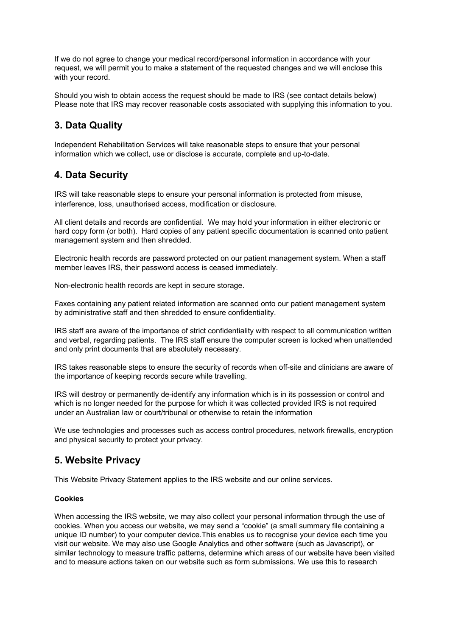If we do not agree to change your medical record/personal information in accordance with your request, we will permit you to make a statement of the requested changes and we will enclose this with your record.

Should you wish to obtain access the request should be made to IRS (see contact details below) Please note that IRS may recover reasonable costs associated with supplying this information to you.

## **3. Data Quality**

Independent Rehabilitation Services will take reasonable steps to ensure that your personal information which we collect, use or disclose is accurate, complete and up-to-date.

### **4. Data Security**

IRS will take reasonable steps to ensure your personal information is protected from misuse, interference, loss, unauthorised access, modification or disclosure.

All client details and records are confidential. We may hold your information in either electronic or hard copy form (or both). Hard copies of any patient specific documentation is scanned onto patient management system and then shredded.

Electronic health records are password protected on our patient management system. When a staff member leaves IRS, their password access is ceased immediately.

Non-electronic health records are kept in secure storage.

Faxes containing any patient related information are scanned onto our patient management system by administrative staff and then shredded to ensure confidentiality.

IRS staff are aware of the importance of strict confidentiality with respect to all communication written and verbal, regarding patients. The IRS staff ensure the computer screen is locked when unattended and only print documents that are absolutely necessary.

IRS takes reasonable steps to ensure the security of records when off-site and clinicians are aware of the importance of keeping records secure while travelling.

IRS will destroy or permanently de-identify any information which is in its possession or control and which is no longer needed for the purpose for which it was collected provided IRS is not required under an Australian law or court/tribunal or otherwise to retain the information

We use technologies and processes such as access control procedures, network firewalls, encryption and physical security to protect your privacy.

### **5. Website Privacy**

This Website Privacy Statement applies to the IRS website and our online services.

#### **Cookies**

When accessing the IRS website, we may also collect your personal information through the use of cookies. When you access our website, we may send a "cookie" (a small summary file containing a unique ID number) to your computer device.This enables us to recognise your device each time you visit our website. We may also use Google Analytics and other software (such as Javascript), or similar technology to measure traffic patterns, determine which areas of our website have been visited and to measure actions taken on our website such as form submissions. We use this to research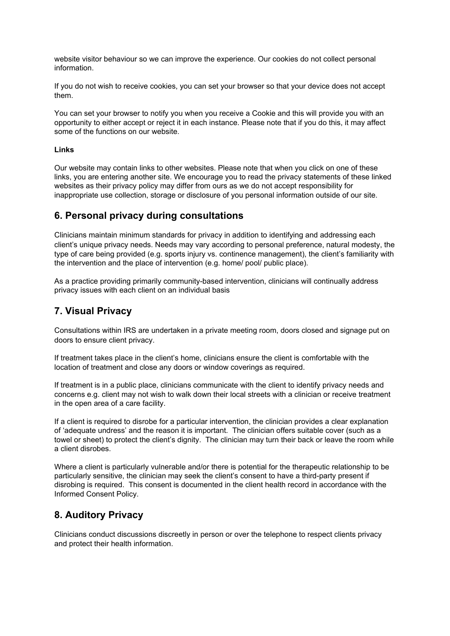website visitor behaviour so we can improve the experience. Our cookies do not collect personal information.

If you do not wish to receive cookies, you can set your browser so that your device does not accept them.

You can set your browser to notify you when you receive a Cookie and this will provide you with an opportunity to either accept or reject it in each instance. Please note that if you do this, it may affect some of the functions on our website.

#### **Links**

Our website may contain links to other websites. Please note that when you click on one of these links, you are entering another site. We encourage you to read the privacy statements of these linked websites as their privacy policy may differ from ours as we do not accept responsibility for inappropriate use collection, storage or disclosure of you personal information outside of our site.

### **6. Personal privacy during consultations**

Clinicians maintain minimum standards for privacy in addition to identifying and addressing each client's unique privacy needs. Needs may vary according to personal preference, natural modesty, the type of care being provided (e.g. sports injury vs. continence management), the client's familiarity with the intervention and the place of intervention (e.g. home/ pool/ public place).

As a practice providing primarily community-based intervention, clinicians will continually address privacy issues with each client on an individual basis

### **7. Visual Privacy**

Consultations within IRS are undertaken in a private meeting room, doors closed and signage put on doors to ensure client privacy.

If treatment takes place in the client's home, clinicians ensure the client is comfortable with the location of treatment and close any doors or window coverings as required.

If treatment is in a public place, clinicians communicate with the client to identify privacy needs and concerns e.g. client may not wish to walk down their local streets with a clinician or receive treatment in the open area of a care facility.

If a client is required to disrobe for a particular intervention, the clinician provides a clear explanation of 'adequate undress' and the reason it is important. The clinician offers suitable cover (such as a towel or sheet) to protect the client's dignity. The clinician may turn their back or leave the room while a client disrobes.

Where a client is particularly vulnerable and/or there is potential for the therapeutic relationship to be particularly sensitive, the clinician may seek the client's consent to have a third-party present if disrobing is required. This consent is documented in the client health record in accordance with the Informed Consent Policy.

### **8. Auditory Privacy**

Clinicians conduct discussions discreetly in person or over the telephone to respect clients privacy and protect their health information.